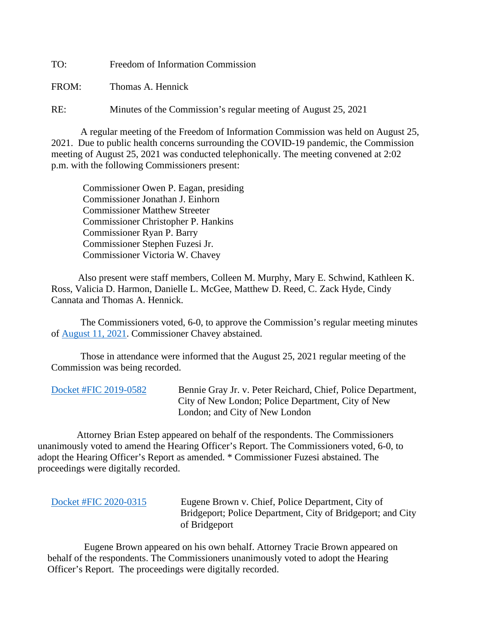TO: Freedom of Information Commission

FROM: Thomas A. Hennick

RE: Minutes of the Commission's regular meeting of August 25, 2021

A regular meeting of the Freedom of Information Commission was held on August 25, 2021. Due to public health concerns surrounding the COVID-19 pandemic, the Commission meeting of August 25, 2021 was conducted telephonically. The meeting convened at 2:02 p.m. with the following Commissioners present:

 Commissioner Owen P. Eagan, presiding Commissioner Jonathan J. Einhorn Commissioner Matthew Streeter Commissioner Christopher P. Hankins Commissioner Ryan P. Barry Commissioner Stephen Fuzesi Jr. Commissioner Victoria W. Chavey

 Also present were staff members, Colleen M. Murphy, Mary E. Schwind, Kathleen K. Ross, Valicia D. Harmon, Danielle L. McGee, Matthew D. Reed, C. Zack Hyde, Cindy Cannata and Thomas A. Hennick.

The Commissioners voted, 6-0, to approve the Commission's regular meeting minutes of [August 11, 2021.](https://portal.ct.gov/-/media/FOI/Minutes/2021/Minutes-8-11-2021b.pdf) Commissioner Chavey abstained.

 Those in attendance were informed that the August 25, 2021 regular meeting of the Commission was being recorded.

[Docket #FIC 2019-0582](https://portal.ct.gov/-/media/FOI/FinalDecisions/2021/Aug25/2019-0582.pdf) Bennie Gray Jr. v. Peter Reichard, Chief, Police Department, City of New London; Police Department, City of New London; and City of New London

 Attorney Brian Estep appeared on behalf of the respondents. The Commissioners unanimously voted to amend the Hearing Officer's Report. The Commissioners voted, 6-0, to adopt the Hearing Officer's Report as amended. \* Commissioner Fuzesi abstained. The proceedings were digitally recorded.

[Docket #FIC 2020-0315](https://portal.ct.gov/-/media/FOI/FinalDecisions/2021/Aug25/2020-0315.pdf) Eugene Brown v. Chief, Police Department, City of Bridgeport; Police Department, City of Bridgeport; and City of Bridgeport

 Eugene Brown appeared on his own behalf. Attorney Tracie Brown appeared on behalf of the respondents. The Commissioners unanimously voted to adopt the Hearing Officer's Report. The proceedings were digitally recorded.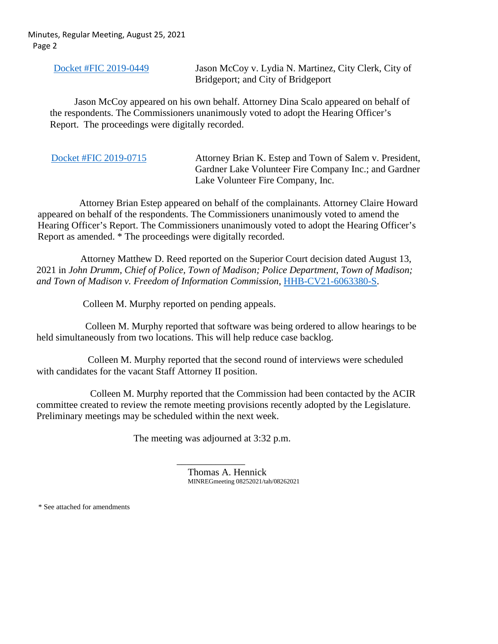Minutes, Regular Meeting, August 25, 2021 Page 2

Docket [#FIC 2019-0449](https://portal.ct.gov/-/media/FOI/FinalDecisions/2021/Aug25/2019-0449.pdf) Jason McCoy v. Lydia N. Martinez, City Clerk, City of Bridgeport; and City of Bridgeport

 Jason McCoy appeared on his own behalf. Attorney Dina Scalo appeared on behalf of the respondents. The Commissioners unanimously voted to adopt the Hearing Officer's Report. The proceedings were digitally recorded.

| Docket #FIC 2019-0715<br>Attorney Brian K. Estep and Town of Salem v. President,<br>Gardner Lake Volunteer Fire Company Inc.; and Gardner<br>Lake Volunteer Fire Company, Inc. |
|--------------------------------------------------------------------------------------------------------------------------------------------------------------------------------|
|--------------------------------------------------------------------------------------------------------------------------------------------------------------------------------|

 Attorney Brian Estep appeared on behalf of the complainants. Attorney Claire Howard appeared on behalf of the respondents. The Commissioners unanimously voted to amend the Hearing Officer's Report. The Commissioners unanimously voted to adopt the Hearing Officer's Report as amended. \* The proceedings were digitally recorded.

 Attorney Matthew D. Reed reported on the Superior Court decision dated August 13, 2021 in *John Drumm, Chief of Police, Town of Madison; Police Department, Town of Madison; and Town of Madison v. Freedom of Information Commission*, [HHB-CV21-6063380-S.](http://civilinquiry.jud.ct.gov/DocumentInquiry/DocumentInquiry.aspx?DocumentNo=21218981)

Colleen M. Murphy reported on pending appeals.

 Colleen M. Murphy reported that software was being ordered to allow hearings to be held simultaneously from two locations. This will help reduce case backlog.

 Colleen M. Murphy reported that the second round of interviews were scheduled with candidates for the vacant Staff Attorney II position.

 Colleen M. Murphy reported that the Commission had been contacted by the ACIR committee created to review the remote meeting provisions recently adopted by the Legislature. Preliminary meetings may be scheduled within the next week.

The meeting was adjourned at 3:32 p.m.

 $\overline{\phantom{a}}$  , and the contract of the contract of the contract of the contract of the contract of the contract of the contract of the contract of the contract of the contract of the contract of the contract of the contrac Thomas A. Hennick MINREGmeeting 08252021/tah/08262021

\* See attached for amendments